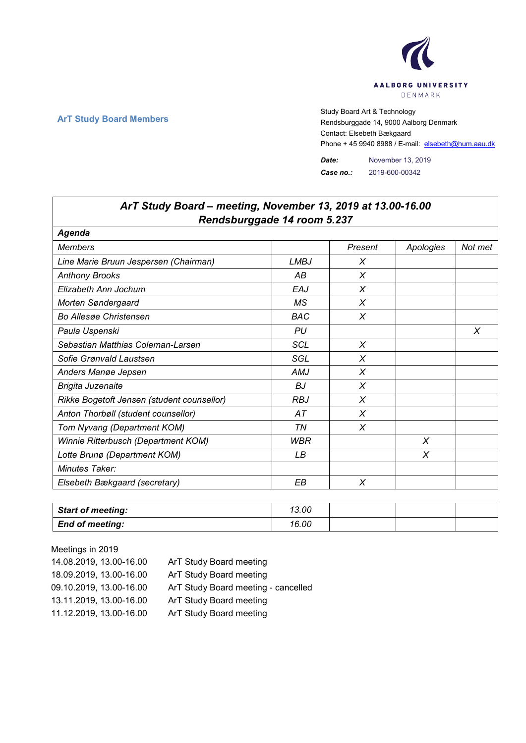

٦

 $\Gamma$ 

**ArT Study Board Members** Study Board Art & Technology **Art Study Board Art & Technology** Rendsburggade 14, 9000 Aalborg Denmark Contact: Elsebeth Bækgaard Phone + 45 9940 8988 / E-mail: elsebeth@hum.aau.dk

> *Date:* November 13, 2019 *Case no.:* 2019-600-00342

| ArT Study Board - meeting, November 13, 2019 at 13.00-16.00 |             |         |           |         |  |  |
|-------------------------------------------------------------|-------------|---------|-----------|---------|--|--|
| Rendsburggade 14 room 5.237<br>Agenda                       |             |         |           |         |  |  |
| <b>Members</b>                                              |             | Present | Apologies | Not met |  |  |
| Line Marie Bruun Jespersen (Chairman)                       | <b>LMBJ</b> | X       |           |         |  |  |
| <b>Anthony Brooks</b>                                       | AB          | X       |           |         |  |  |
| Elizabeth Ann Jochum                                        | EAJ         | X       |           |         |  |  |
| Morten Søndergaard                                          | МS          | X       |           |         |  |  |
| <b>Bo Allesge Christensen</b>                               | <b>BAC</b>  | X       |           |         |  |  |
| Paula Uspenski                                              | PU          |         |           | X       |  |  |
| Sebastian Matthias Coleman-Larsen                           | <b>SCL</b>  | X       |           |         |  |  |
| Sofie Grønvald Laustsen                                     | SGL         | X       |           |         |  |  |
| Anders Mange Jepsen                                         | AMJ         | X       |           |         |  |  |
| Brigita Juzenaite                                           | <b>BJ</b>   | X       |           |         |  |  |
| Rikke Bogetoft Jensen (student counsellor)                  | <b>RBJ</b>  | X       |           |         |  |  |
| Anton Thorbøll (student counsellor)                         | АT          | X       |           |         |  |  |
| Tom Nyvang (Department KOM)                                 | ΤN          | $\chi$  |           |         |  |  |
| Winnie Ritterbusch (Department KOM)                         | <b>WBR</b>  |         | X         |         |  |  |
| Lotte Brunø (Department KOM)                                | LB          |         | X         |         |  |  |
| <b>Minutes Taker:</b>                                       |             |         |           |         |  |  |
| Elsebeth Bækgaard (secretary)                               | EВ          | X       |           |         |  |  |

| <b>Start of meeting:</b> | 13.00 |  |  |
|--------------------------|-------|--|--|
| <b>End of meeting:</b>   | 16.00 |  |  |

Meetings in 2019 14.08.2019, 13.00-16.00 ArT Study Board meeting 18.09.2019, 13.00-16.00 ArT Study Board meeting 09.10.2019, 13.00-16.00 ArT Study Board meeting - cancelled 13.11.2019, 13.00-16.00 ArT Study Board meeting 11.12.2019, 13.00-16.00 ArT Study Board meeting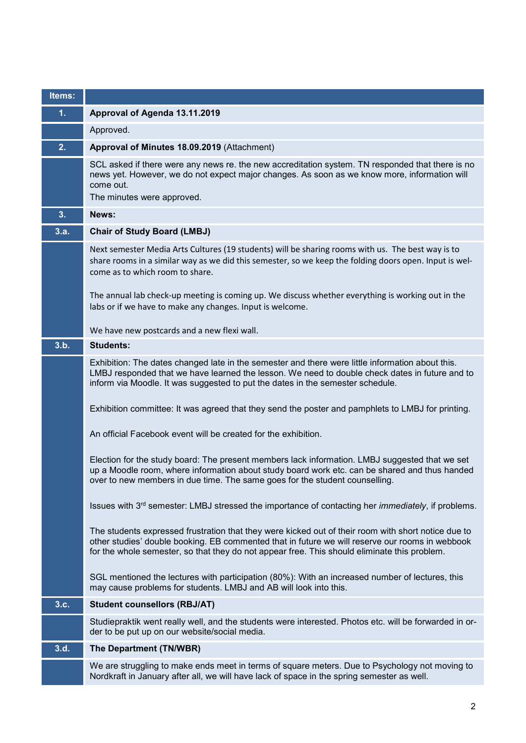| Items: |                                                                                                                                                                                                                                                                                                                                                     |
|--------|-----------------------------------------------------------------------------------------------------------------------------------------------------------------------------------------------------------------------------------------------------------------------------------------------------------------------------------------------------|
| 1.     | Approval of Agenda 13.11.2019                                                                                                                                                                                                                                                                                                                       |
|        | Approved.                                                                                                                                                                                                                                                                                                                                           |
| 2.     | Approval of Minutes 18.09.2019 (Attachment)                                                                                                                                                                                                                                                                                                         |
|        | SCL asked if there were any news re. the new accreditation system. TN responded that there is no<br>news yet. However, we do not expect major changes. As soon as we know more, information will<br>come out.<br>The minutes were approved.                                                                                                         |
| 3.     | News:                                                                                                                                                                                                                                                                                                                                               |
| 3.a.   | <b>Chair of Study Board (LMBJ)</b>                                                                                                                                                                                                                                                                                                                  |
|        | Next semester Media Arts Cultures (19 students) will be sharing rooms with us. The best way is to<br>share rooms in a similar way as we did this semester, so we keep the folding doors open. Input is wel-<br>come as to which room to share.<br>The annual lab check-up meeting is coming up. We discuss whether everything is working out in the |
|        | labs or if we have to make any changes. Input is welcome.                                                                                                                                                                                                                                                                                           |
|        | We have new postcards and a new flexi wall.                                                                                                                                                                                                                                                                                                         |
| 3.b.   | <b>Students:</b>                                                                                                                                                                                                                                                                                                                                    |
|        | Exhibition: The dates changed late in the semester and there were little information about this.<br>LMBJ responded that we have learned the lesson. We need to double check dates in future and to<br>inform via Moodle. It was suggested to put the dates in the semester schedule.                                                                |
|        | Exhibition committee: It was agreed that they send the poster and pamphlets to LMBJ for printing.                                                                                                                                                                                                                                                   |
|        | An official Facebook event will be created for the exhibition.                                                                                                                                                                                                                                                                                      |
|        | Election for the study board: The present members lack information. LMBJ suggested that we set<br>up a Moodle room, where information about study board work etc. can be shared and thus handed<br>over to new members in due time. The same goes for the student counselling.                                                                      |
|        | Issues with 3 <sup>rd</sup> semester: LMBJ stressed the importance of contacting her <i>immediately</i> , if problems.                                                                                                                                                                                                                              |
|        | The students expressed frustration that they were kicked out of their room with short notice due to<br>other studies' double booking. EB commented that in future we will reserve our rooms in webbook<br>for the whole semester, so that they do not appear free. This should eliminate this problem.                                              |
|        | SGL mentioned the lectures with participation (80%): With an increased number of lectures, this<br>may cause problems for students. LMBJ and AB will look into this.                                                                                                                                                                                |
| 3.c.   | <b>Student counsellors (RBJ/AT)</b>                                                                                                                                                                                                                                                                                                                 |
|        | Studiepraktik went really well, and the students were interested. Photos etc. will be forwarded in or-<br>der to be put up on our website/social media.                                                                                                                                                                                             |
| 3.d.   | The Department (TN/WBR)                                                                                                                                                                                                                                                                                                                             |
|        | We are struggling to make ends meet in terms of square meters. Due to Psychology not moving to<br>Nordkraft in January after all, we will have lack of space in the spring semester as well.                                                                                                                                                        |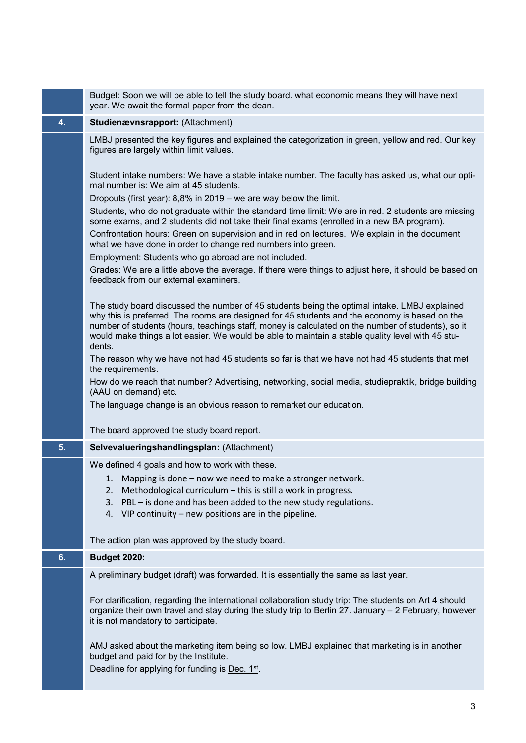|    | Budget: Soon we will be able to tell the study board. what economic means they will have next<br>year. We await the formal paper from the dean.                                                                                                                                                                                                                                                                  |
|----|------------------------------------------------------------------------------------------------------------------------------------------------------------------------------------------------------------------------------------------------------------------------------------------------------------------------------------------------------------------------------------------------------------------|
| 4. | Studienævnsrapport: (Attachment)                                                                                                                                                                                                                                                                                                                                                                                 |
|    | LMBJ presented the key figures and explained the categorization in green, yellow and red. Our key<br>figures are largely within limit values.                                                                                                                                                                                                                                                                    |
|    | Student intake numbers: We have a stable intake number. The faculty has asked us, what our opti-<br>mal number is: We aim at 45 students.                                                                                                                                                                                                                                                                        |
|    | Dropouts (first year): $8,8\%$ in 2019 – we are way below the limit.                                                                                                                                                                                                                                                                                                                                             |
|    | Students, who do not graduate within the standard time limit: We are in red. 2 students are missing<br>some exams, and 2 students did not take their final exams (enrolled in a new BA program).                                                                                                                                                                                                                 |
|    | Confrontation hours: Green on supervision and in red on lectures. We explain in the document<br>what we have done in order to change red numbers into green.                                                                                                                                                                                                                                                     |
|    | Employment: Students who go abroad are not included.                                                                                                                                                                                                                                                                                                                                                             |
|    | Grades: We are a little above the average. If there were things to adjust here, it should be based on<br>feedback from our external examiners.                                                                                                                                                                                                                                                                   |
|    | The study board discussed the number of 45 students being the optimal intake. LMBJ explained<br>why this is preferred. The rooms are designed for 45 students and the economy is based on the<br>number of students (hours, teachings staff, money is calculated on the number of students), so it<br>would make things a lot easier. We would be able to maintain a stable quality level with 45 stu-<br>dents. |
|    | The reason why we have not had 45 students so far is that we have not had 45 students that met<br>the requirements.                                                                                                                                                                                                                                                                                              |
|    | How do we reach that number? Advertising, networking, social media, studiepraktik, bridge building<br>(AAU on demand) etc.                                                                                                                                                                                                                                                                                       |
|    | The language change is an obvious reason to remarket our education.                                                                                                                                                                                                                                                                                                                                              |
|    | The board approved the study board report.                                                                                                                                                                                                                                                                                                                                                                       |
| 5. | Selvevalueringshandlingsplan: (Attachment)                                                                                                                                                                                                                                                                                                                                                                       |
|    | We defined 4 goals and how to work with these.                                                                                                                                                                                                                                                                                                                                                                   |
|    | 1. Mapping is done - now we need to make a stronger network.                                                                                                                                                                                                                                                                                                                                                     |
|    | Methodological curriculum - this is still a work in progress.<br>2.                                                                                                                                                                                                                                                                                                                                              |
|    | PBL - is done and has been added to the new study regulations.<br>3.                                                                                                                                                                                                                                                                                                                                             |
|    | 4. VIP continuity – new positions are in the pipeline.                                                                                                                                                                                                                                                                                                                                                           |
|    | The action plan was approved by the study board.                                                                                                                                                                                                                                                                                                                                                                 |
| 6. | <b>Budget 2020:</b>                                                                                                                                                                                                                                                                                                                                                                                              |
|    | A preliminary budget (draft) was forwarded. It is essentially the same as last year.                                                                                                                                                                                                                                                                                                                             |
|    | For clarification, regarding the international collaboration study trip: The students on Art 4 should<br>organize their own travel and stay during the study trip to Berlin 27. January - 2 February, however<br>it is not mandatory to participate.                                                                                                                                                             |
|    |                                                                                                                                                                                                                                                                                                                                                                                                                  |
|    | AMJ asked about the marketing item being so low. LMBJ explained that marketing is in another<br>budget and paid for by the Institute.<br>Deadline for applying for funding is Dec. 1st.                                                                                                                                                                                                                          |